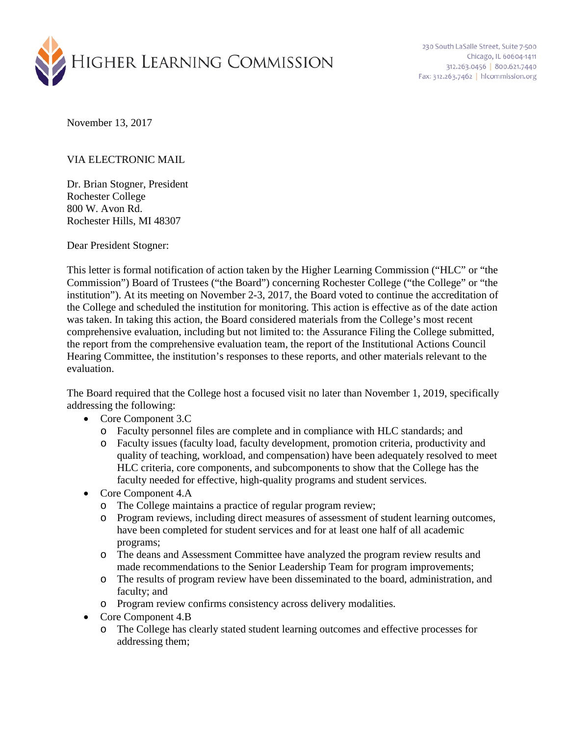

November 13, 2017

## VIA ELECTRONIC MAIL

Dr. Brian Stogner, President Rochester College 800 W. Avon Rd. Rochester Hills, MI 48307

Dear President Stogner:

This letter is formal notification of action taken by the Higher Learning Commission ("HLC" or "the Commission") Board of Trustees ("the Board") concerning Rochester College ("the College" or "the institution"). At its meeting on November 2-3, 2017, the Board voted to continue the accreditation of the College and scheduled the institution for monitoring. This action is effective as of the date action was taken. In taking this action, the Board considered materials from the College's most recent comprehensive evaluation, including but not limited to: the Assurance Filing the College submitted, the report from the comprehensive evaluation team, the report of the Institutional Actions Council Hearing Committee, the institution's responses to these reports, and other materials relevant to the evaluation.

The Board required that the College host a focused visit no later than November 1, 2019, specifically addressing the following:

- Core Component 3.C
	- o Faculty personnel files are complete and in compliance with HLC standards; and
	- o Faculty issues (faculty load, faculty development, promotion criteria, productivity and quality of teaching, workload, and compensation) have been adequately resolved to meet HLC criteria, core components, and subcomponents to show that the College has the faculty needed for effective, high-quality programs and student services.
- Core Component 4.A
	- o The College maintains a practice of regular program review;
	- o Program reviews, including direct measures of assessment of student learning outcomes, have been completed for student services and for at least one half of all academic programs;
	- o The deans and Assessment Committee have analyzed the program review results and made recommendations to the Senior Leadership Team for program improvements;
	- o The results of program review have been disseminated to the board, administration, and faculty; and
	- o Program review confirms consistency across delivery modalities.
- Core Component 4.B
	- o The College has clearly stated student learning outcomes and effective processes for addressing them;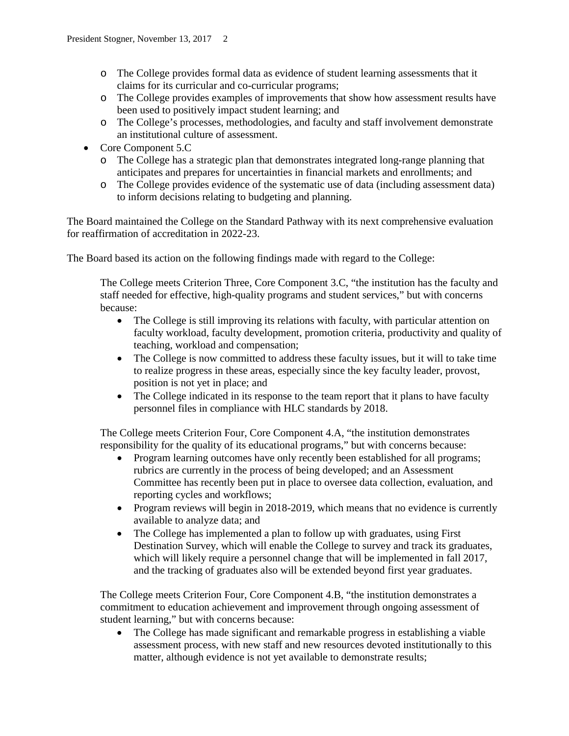- o The College provides formal data as evidence of student learning assessments that it claims for its curricular and co-curricular programs;
- o The College provides examples of improvements that show how assessment results have been used to positively impact student learning; and
- o The College's processes, methodologies, and faculty and staff involvement demonstrate an institutional culture of assessment.
- Core Component 5.C
	- o The College has a strategic plan that demonstrates integrated long-range planning that anticipates and prepares for uncertainties in financial markets and enrollments; and
	- o The College provides evidence of the systematic use of data (including assessment data) to inform decisions relating to budgeting and planning.

The Board maintained the College on the Standard Pathway with its next comprehensive evaluation for reaffirmation of accreditation in 2022-23.

The Board based its action on the following findings made with regard to the College:

The College meets Criterion Three, Core Component 3.C, "the institution has the faculty and staff needed for effective, high-quality programs and student services," but with concerns because:

- The College is still improving its relations with faculty, with particular attention on faculty workload, faculty development, promotion criteria, productivity and quality of teaching, workload and compensation;
- The College is now committed to address these faculty issues, but it will to take time to realize progress in these areas, especially since the key faculty leader, provost, position is not yet in place; and
- The College indicated in its response to the team report that it plans to have faculty personnel files in compliance with HLC standards by 2018.

The College meets Criterion Four, Core Component 4.A, "the institution demonstrates responsibility for the quality of its educational programs," but with concerns because:

- Program learning outcomes have only recently been established for all programs; rubrics are currently in the process of being developed; and an Assessment Committee has recently been put in place to oversee data collection, evaluation, and reporting cycles and workflows;
- Program reviews will begin in 2018-2019, which means that no evidence is currently available to analyze data; and
- The College has implemented a plan to follow up with graduates, using First Destination Survey, which will enable the College to survey and track its graduates, which will likely require a personnel change that will be implemented in fall 2017, and the tracking of graduates also will be extended beyond first year graduates.

The College meets Criterion Four, Core Component 4.B, "the institution demonstrates a commitment to education achievement and improvement through ongoing assessment of student learning," but with concerns because:

• The College has made significant and remarkable progress in establishing a viable assessment process, with new staff and new resources devoted institutionally to this matter, although evidence is not yet available to demonstrate results;